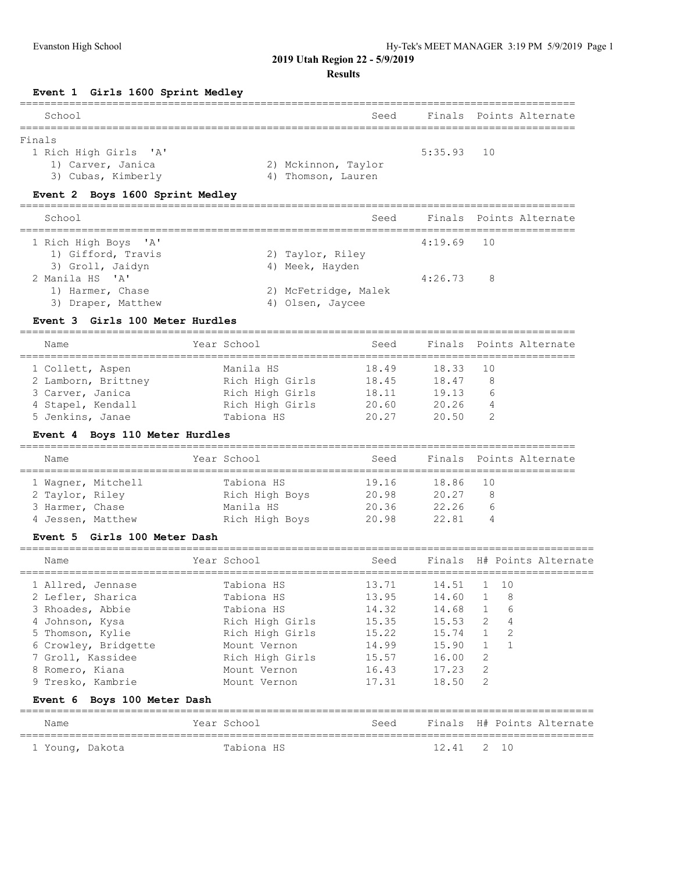**2019 Utah Region 22 - 5/9/2019**

## **Results**

**Event 1 Girls 1600 Sprint Medley**

| School                          | Seed                |              | Finals Points Alternate |
|---------------------------------|---------------------|--------------|-------------------------|
| Finals                          |                     |              |                         |
| 1 Rich High Girls 'A'           |                     | $5:35.93$ 10 |                         |
| 1) Carver, Janica               | 2) Mckinnon, Taylor |              |                         |
| 3) Cubas, Kimberly              | 4) Thomson, Lauren  |              |                         |
| Event 2 Boys 1600 Sprint Medley |                     |              |                         |
|                                 |                     |              |                         |

| School               |                      | Seed |              | Finals Points Alternate |
|----------------------|----------------------|------|--------------|-------------------------|
| 1 Rich High Boys 'A' |                      |      | $4:19.69$ 10 |                         |
| 1) Gifford, Travis   | 2) Taylor, Riley     |      |              |                         |
| 3) Groll, Jaidyn     | 4) Meek, Hayden      |      |              |                         |
| 2 Manila HS 'A'      |                      |      | 4:26.73      | - 8                     |
| 1) Harmer, Chase     | 2) McFetridge, Malek |      |              |                         |
| 3) Draper, Matthew   | 4) Olsen, Jaycee     |      |              |                         |
|                      |                      |      |              |                         |

# **Event 3 Girls 100 Meter Hurdles**

==========================================================================================

| Name                | Year School     | Seed  |          | Finals Points Alternate |
|---------------------|-----------------|-------|----------|-------------------------|
| 1 Collett, Aspen    | Manila HS       | 18.49 | 18.33 10 |                         |
| 2 Lamborn, Brittney | Rich High Girls | 18.45 | 18.47    | -8                      |
| 3 Carver, Janica    | Rich High Girls | 18.11 | 19.13    | $\mathfrak b$           |
| 4 Stapel, Kendall   | Rich High Girls | 20.60 | 20.26    |                         |
| 5 Jenkins, Janae    | Tabiona HS      | 20.27 | 20.50    |                         |

# **Event 4 Boys 110 Meter Hurdles**

| Name            |                    | Year School    | Seed  |          | Finals Points Alternate |
|-----------------|--------------------|----------------|-------|----------|-------------------------|
|                 | 1 Wagner, Mitchell | Tabiona HS     | 19.16 | 18.86 10 |                         |
| 2 Taylor, Riley |                    | Rich High Boys | 20.98 | 20.27    | 8                       |
| 3 Harmer, Chase |                    | Manila HS      | 20.36 | 22.26    | h                       |
|                 | 4 Jessen, Matthew  | Rich High Boys | 20.98 | 22 81    | 4                       |

## **Event 5 Girls 100 Meter Dash**

| Name                 | Year School |                 | Seed  |             |                | Finals H# Points Alternate |
|----------------------|-------------|-----------------|-------|-------------|----------------|----------------------------|
| 1 Allred, Jennase    |             | Tabiona HS      | 13.71 | 14.51 1 10  |                |                            |
| 2 Lefler, Sharica    |             | Tabiona HS      | 13.95 | 14.60 1     |                | - 8                        |
| 3 Rhoades, Abbie     |             | Tabiona HS      | 14.32 | 14.68 1 6   |                |                            |
| 4 Johnson, Kysa      |             | Rich High Girls | 15.35 | $15.53$ 2 4 |                |                            |
| 5 Thomson, Kylie     |             | Rich High Girls | 15.22 | 15.74       |                | $1 \quad 2$                |
| 6 Crowley, Bridgette |             | Mount Vernon    | 14.99 | 15.90       |                |                            |
| 7 Groll, Kassidee    |             | Rich High Girls | 15.57 | 16.00       | $\overline{2}$ |                            |
| 8 Romero, Kiana      |             | Mount Vernon    | 16.43 | 17.23       | $\overline{2}$ |                            |
| 9 Tresko, Kambrie    |             | Mount Vernon    | 17.31 | 18.50       | $\overline{2}$ |                            |

## **Event 6 Boys 100 Meter Dash**

| Name            | Year School | Seed |            | Finals H# Points Alternate |  |
|-----------------|-------------|------|------------|----------------------------|--|
| 1 Young, Dakota | Tabiona HS  |      | 12.41 2 10 |                            |  |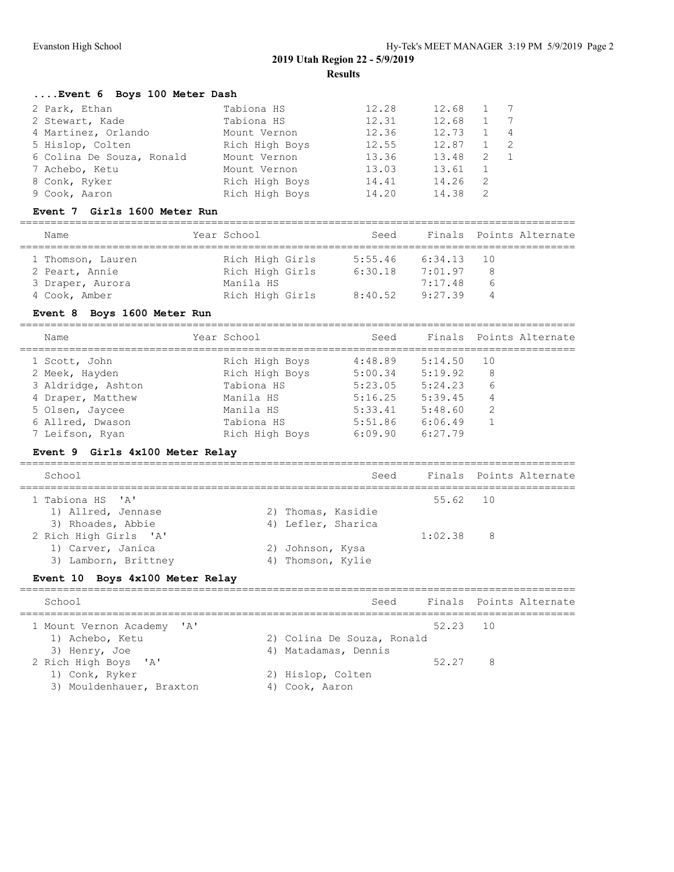# **....Event 6 Boys 100 Meter Dash**

| 2 Park, Ethan             | Tabiona HS     | 12.28 | 12.68 | $\mathbf{1}$ | 7              |
|---------------------------|----------------|-------|-------|--------------|----------------|
| 2 Stewart, Kade           | Tabiona HS     | 12.31 | 12.68 |              | $\overline{7}$ |
| 4 Martinez, Orlando       | Mount Vernon   | 12.36 | 12.73 |              | $\overline{4}$ |
| 5 Hislop, Colten          | Rich High Boys | 12.55 | 12.87 |              | -2             |
| 6 Colina De Souza, Ronald | Mount Vernon   | 13.36 | 13.48 | 2            |                |
| 7 Achebo, Ketu            | Mount Vernon   | 13.03 | 13.61 |              |                |
| 8 Conk, Ryker             | Rich High Boys | 14.41 | 14.26 | 2            |                |
| 9 Cook, Aaron             | Rich High Boys | 14.20 | 14.38 | 2            |                |

#### **Event 7 Girls 1600 Meter Run**

==========================================================================================

| Rich High Girls<br>6:34.13<br>1 Thomson, Lauren<br>5:55.46<br>10 | Finals Points Alternate |
|------------------------------------------------------------------|-------------------------|
|                                                                  |                         |
| Rich High Girls<br>2 Peart, Annie<br>6:30.18<br>7:01.97<br>8     |                         |
| Manila HS<br>3 Draper, Aurora<br>7:17.48<br>h                    |                         |
| 4 Cook, Amber<br>Rich High Girls<br>9:27.39<br>8:40.52<br>4      |                         |

## **Event 8 Boys 1600 Meter Run**

==========================================================================================

| Name               | Year School    | Seed    |         | Finals Points Alternate |
|--------------------|----------------|---------|---------|-------------------------|
| 1 Scott, John      | Rich High Boys | 4:48.89 | 5:14.50 | 10                      |
| 2 Meek, Hayden     | Rich High Boys | 5:00.34 | 5:19.92 | 8                       |
| 3 Aldridge, Ashton | Tabiona HS     | 5:23.05 | 5:24.23 | 6                       |
| 4 Draper, Matthew  | Manila HS      | 5:16.25 | 5:39.45 | 4                       |
| 5 Olsen, Jaycee    | Manila HS      | 5:33.41 | 5:48.60 | 2                       |
| 6 Allred, Dwason   | Tabiona HS     | 5:51.86 | 6:06.49 |                         |
| 7 Leifson, Ryan    | Rich High Boys | 6:09.90 | 6:27.79 |                         |

## **Event 9 Girls 4x100 Meter Relay**

| School                |                    | Seed     | Finals Points Alternate |
|-----------------------|--------------------|----------|-------------------------|
| 1 Tabiona HS 'A'      |                    | 55.62 10 |                         |
| 1) Allred, Jennase    | 2) Thomas, Kasidie |          |                         |
| 3) Rhoades, Abbie     | 4) Lefler, Sharica |          |                         |
| 2 Rich High Girls 'A' |                    | 1:02.38  | 8                       |
| 1) Carver, Janica     | 2) Johnson, Kysa   |          |                         |
| 3) Lamborn, Brittney  | 4) Thomson, Kylie  |          |                         |

## **Event 10 Boys 4x100 Meter Relay**

| School                     | Seed                       |          | Finals Points Alternate |
|----------------------------|----------------------------|----------|-------------------------|
| 1 Mount Vernon Academy 'A' |                            | 52.23 10 |                         |
| 1) Achebo, Ketu            | 2) Colina De Souza, Ronald |          |                         |
| 3) Henry, Joe              | 4) Matadamas, Dennis       |          |                         |
| 2 Rich High Boys 'A'       |                            | 52 27    | 8                       |
| 1) Conk, Ryker             | 2) Hislop, Colten          |          |                         |
| 3) Mouldenhauer, Braxton   | 4) Cook, Aaron             |          |                         |
|                            |                            |          |                         |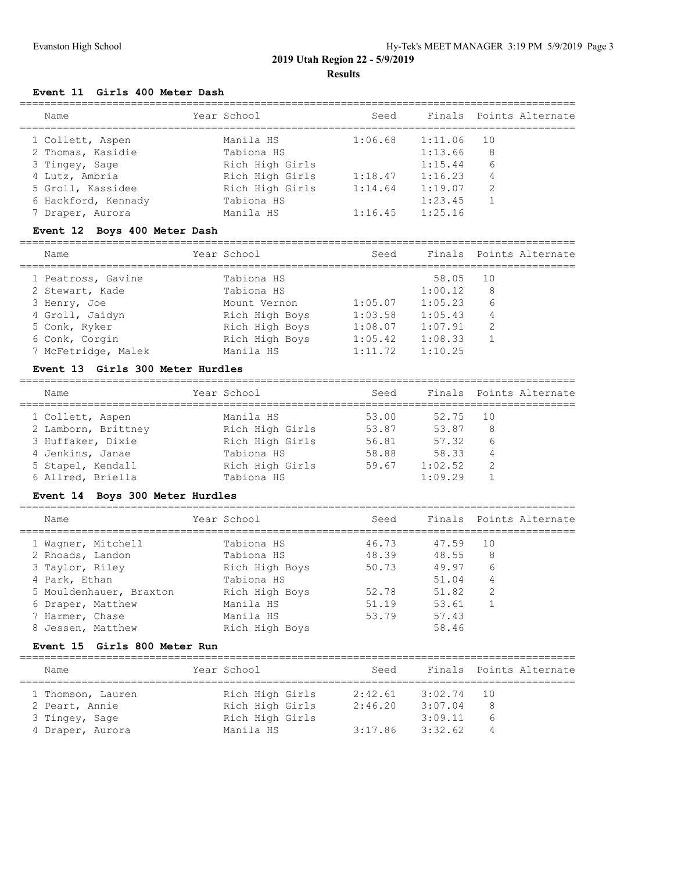# **Event 11 Girls 400 Meter Dash**

| Name                | Year School     | Seed    |         | Finals Points Alternate |
|---------------------|-----------------|---------|---------|-------------------------|
| 1 Collett, Aspen    | Manila HS       | 1:06.68 | 1:11.06 | 10                      |
| 2 Thomas, Kasidie   | Tabiona HS      |         | 1:13.66 | 8                       |
| 3 Tingey, Sage      | Rich High Girls |         | 1:15.44 | 6                       |
| 4 Lutz, Ambria      | Rich High Girls | 1:18.47 | 1:16.23 | 4                       |
| 5 Groll, Kassidee   | Rich High Girls | 1:14.64 | 1:19.07 | 2                       |
| 6 Hackford, Kennady | Tabiona HS      |         | 1:23.45 |                         |
| 7 Draper, Aurora    | Manila HS       | 1:16.45 | 1:25.16 |                         |
|                     |                 |         |         |                         |

# **Event 12 Boys 400 Meter Dash**

| Name |                     | Year School    | Seed    |         |    | Finals Points Alternate |
|------|---------------------|----------------|---------|---------|----|-------------------------|
|      | 1 Peatross, Gavine  | Tabiona HS     |         | 58.05   | 10 |                         |
|      | 2 Stewart, Kade     | Tabiona HS     |         | 1:00.12 | 8  |                         |
|      | 3 Henry, Joe        | Mount Vernon   | 1:05.07 | 1:05.23 | 6  |                         |
|      | 4 Groll, Jaidyn     | Rich High Boys | 1:03.58 | 1:05.43 | 4  |                         |
|      | 5 Conk, Ryker       | Rich High Boys | 1:08.07 | 1:07.91 | 2  |                         |
|      | 6 Conk, Corgin      | Rich High Boys | 1:05.42 | 1:08.33 |    |                         |
|      | 7 McFetridge, Malek | Manila HS      | 1:11.72 | 1:10.25 |    |                         |

## **Event 13 Girls 300 Meter Hurdles**

| Name                | Year School     | Seed  |         | Finals Points Alternate |
|---------------------|-----------------|-------|---------|-------------------------|
| 1 Collett, Aspen    | Manila HS       | 53.00 | 52.75   | 10                      |
| 2 Lamborn, Brittney | Rich High Girls | 53.87 | 53.87   | 8                       |
| 3 Huffaker, Dixie   | Rich High Girls | 56.81 | 57.32   | 6                       |
| 4 Jenkins, Janae    | Tabiona HS      | 58.88 | 58.33   | 4                       |
| 5 Stapel, Kendall   | Rich High Girls | 59.67 | 1:02.52 | -2                      |
| 6 Allred, Briella   | Tabiona HS      |       | 1:09.29 |                         |
|                     |                 |       |         |                         |

## **Event 14 Boys 300 Meter Hurdles**

| Name                    | Year School    | Seed  |       | Finals Points Alternate |
|-------------------------|----------------|-------|-------|-------------------------|
| 1 Wagner, Mitchell      | Tabiona HS     | 46.73 | 47.59 | 10                      |
| 2 Rhoads, Landon        | Tabiona HS     | 48.39 | 48.55 | 8                       |
| 3 Taylor, Riley         | Rich High Boys | 50.73 | 49.97 | 6                       |
| 4 Park, Ethan           | Tabiona HS     |       | 51.04 | 4                       |
| 5 Mouldenhauer, Braxton | Rich High Boys | 52.78 | 51.82 | -2                      |
| 6 Draper, Matthew       | Manila HS      | 51.19 | 53.61 |                         |
| 7 Harmer, Chase         | Manila HS      | 53.79 | 57.43 |                         |
| 8 Jessen, Matthew       | Rich High Boys |       | 58.46 |                         |
|                         |                |       |       |                         |

==========================================================================================

# **Event 15 Girls 800 Meter Run**

| Name              | Year School     | Seed    |         | Finals Points Alternate |
|-------------------|-----------------|---------|---------|-------------------------|
| 1 Thomson, Lauren | Rich High Girls | 2:42.61 | 3:02.74 | 10                      |
| 2 Peart, Annie    | Rich High Girls | 2:46.20 | 3:07.04 | -8                      |
| 3 Tingey, Sage    | Rich High Girls |         | 3:09.11 | 6                       |
| 4 Draper, Aurora  | Manila HS       | 3:17.86 | 3:32.62 | 4                       |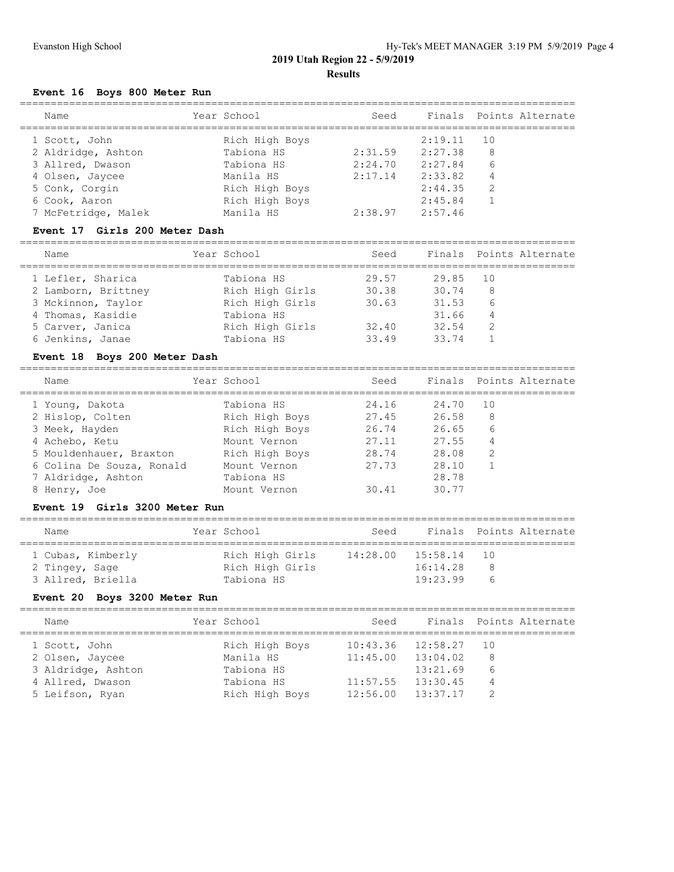# **Event 16 Boys 800 Meter Run**

| Name                | Year School    | Seed    |         | Finals Points Alternate |
|---------------------|----------------|---------|---------|-------------------------|
| 1 Scott, John       | Rich High Boys |         | 2:19.11 | - 10                    |
| 2 Aldridge, Ashton  | Tabiona HS     | 2:31.59 | 2:27.38 | 8                       |
| 3 Allred, Dwason    | Tabiona HS     | 2:24.70 | 2:27.84 | 6                       |
| 4 Olsen, Jaycee     | Manila HS      | 2:17.14 | 2:33.82 | 4                       |
| 5 Conk, Corgin      | Rich High Boys |         | 2:44.35 | 2                       |
| 6 Cook, Aaron       | Rich High Boys |         | 2:45.84 |                         |
| 7 McFetridge, Malek | Manila HS      | 2:38.97 | 2:57.46 |                         |
|                     |                |         |         |                         |

## **Event 17 Girls 200 Meter Dash**

| Name                | Year School     | Seed  |       | Finals Points Alternate |
|---------------------|-----------------|-------|-------|-------------------------|
| 1 Lefler, Sharica   | Tabiona HS      | 29.57 | 29.85 | 10                      |
| 2 Lamborn, Brittney | Rich High Girls | 30.38 | 30.74 | 8                       |
| 3 Mckinnon, Taylor  | Rich High Girls | 30.63 | 31.53 | 6                       |
| 4 Thomas, Kasidie   | Tabiona HS      |       | 31.66 | 4                       |
| 5 Carver, Janica    | Rich High Girls | 32.40 | 32.54 | 2                       |
| 6 Jenkins, Janae    | Tabiona HS      | 33.49 | 33.74 |                         |
|                     |                 |       |       |                         |

# **Event 18 Boys 200 Meter Dash**

========================================================================================== ------<br>Seed Finals Points-Alternate

| Name                      | rear school    | seea  |       | Finals Points Alternate |
|---------------------------|----------------|-------|-------|-------------------------|
| 1 Young, Dakota           | Tabiona HS     | 24.16 | 24.70 | 10                      |
| 2 Hislop, Colten          | Rich High Boys | 27.45 | 26.58 | 8                       |
| 3 Meek, Hayden            | Rich High Boys | 26.74 | 26.65 | 6                       |
| 4 Achebo, Ketu            | Mount Vernon   | 27.11 | 27.55 | 4                       |
| 5 Mouldenhauer, Braxton   | Rich High Boys | 28.74 | 28.08 | 2                       |
| 6 Colina De Souza, Ronald | Mount Vernon   | 27.73 | 28.10 |                         |
| 7 Aldridge, Ashton        | Tabiona HS     |       | 28.78 |                         |
| 8 Henry, Joe              | Mount Vernon   | 30.41 | 30.77 |                         |

## **Event 19 Girls 3200 Meter Run**

| Name                                | Year School                        | Seed     |                      | Finals Points Alternate |
|-------------------------------------|------------------------------------|----------|----------------------|-------------------------|
| 1 Cubas, Kimberly<br>2 Tingey, Sage | Rich High Girls<br>Rich High Girls | 14:28.00 | 15:58.14<br>16:14.28 | $\overline{10}$<br>8    |
| 3 Allred, Briella                   | Tabiona HS                         |          | 19:23.99             | $\sqrt{2}$              |

# **Event 20 Boys 3200 Meter Run**

| Name               | Year School    | Seed     |                       | Finals Points Alternate |
|--------------------|----------------|----------|-----------------------|-------------------------|
| 1 Scott, John      | Rich High Boys | 10:43.36 | 12:58.27              | 10                      |
| 2 Olsen, Jaycee    | Manila HS      |          | $11:45.00$ $13:04.02$ | -8                      |
| 3 Aldridge, Ashton | Tabiona HS     |          | 13:21.69              | 6                       |
| 4 Allred, Dwason   | Tabiona HS     | 11:57.55 | 13:30.45              | 4                       |
| 5 Leifson, Ryan    | Rich High Boys |          | $12:56.00$ $13:37.17$ | 2                       |
|                    |                |          |                       |                         |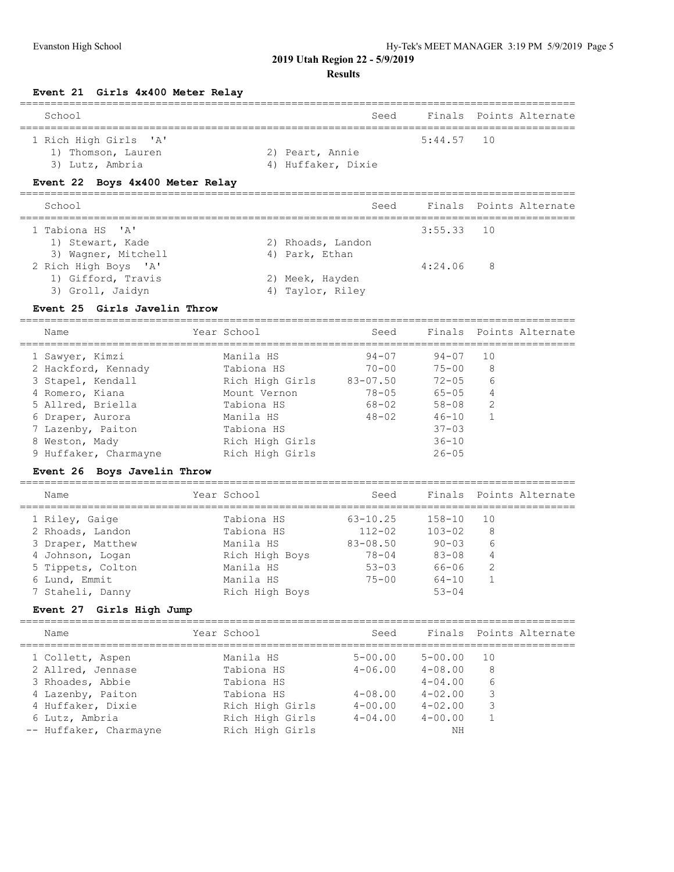**2019 Utah Region 22 - 5/9/2019**

# **Results**

| Girls 4x400 Meter Relay<br><b>Event 21</b>                                                                                                                                                                                                                                                                                                                              |                                                                                                                                                                                                                                                                 |                                                                                                                                                                           |                                                                                                                                                                                                                                  |                                                                                                       |                         |
|-------------------------------------------------------------------------------------------------------------------------------------------------------------------------------------------------------------------------------------------------------------------------------------------------------------------------------------------------------------------------|-----------------------------------------------------------------------------------------------------------------------------------------------------------------------------------------------------------------------------------------------------------------|---------------------------------------------------------------------------------------------------------------------------------------------------------------------------|----------------------------------------------------------------------------------------------------------------------------------------------------------------------------------------------------------------------------------|-------------------------------------------------------------------------------------------------------|-------------------------|
| School                                                                                                                                                                                                                                                                                                                                                                  |                                                                                                                                                                                                                                                                 |                                                                                                                                                                           | Seed<br>______________________________________                                                                                                                                                                                   |                                                                                                       | Finals Points Alternate |
| 1 Rich High Girls<br>$\mathsf{A}$<br>1) Thomson, Lauren<br>3) Lutz, Ambria                                                                                                                                                                                                                                                                                              |                                                                                                                                                                                                                                                                 | 2) Peart, Annie<br>4) Huffaker, Dixie                                                                                                                                     | 5:44.57                                                                                                                                                                                                                          | 10                                                                                                    |                         |
| Event 22 Boys 4x400 Meter Relay                                                                                                                                                                                                                                                                                                                                         |                                                                                                                                                                                                                                                                 |                                                                                                                                                                           |                                                                                                                                                                                                                                  |                                                                                                       |                         |
| School                                                                                                                                                                                                                                                                                                                                                                  |                                                                                                                                                                                                                                                                 |                                                                                                                                                                           | Finals<br>Seed                                                                                                                                                                                                                   |                                                                                                       | Points Alternate        |
| . _ _ _ _ _ _ _ _ _ _ _ _ _ _ _ _ _<br>1 Tabiona HS<br>$\mathsf{A}$<br>1) Stewart, Kade<br>3) Wagner, Mitchell                                                                                                                                                                                                                                                          |                                                                                                                                                                                                                                                                 | 2) Rhoads, Landon<br>4) Park, Ethan                                                                                                                                       | _____________________________________<br>3:55.33                                                                                                                                                                                 | 10                                                                                                    |                         |
| 2 Rich High Boys 'A'<br>1) Gifford, Travis<br>3) Groll, Jaidyn                                                                                                                                                                                                                                                                                                          |                                                                                                                                                                                                                                                                 | 2) Meek, Hayden<br>4) Taylor, Riley                                                                                                                                       | 4:24.06                                                                                                                                                                                                                          | 8                                                                                                     |                         |
| Girls Javelin Throw<br>Event 25                                                                                                                                                                                                                                                                                                                                         |                                                                                                                                                                                                                                                                 |                                                                                                                                                                           |                                                                                                                                                                                                                                  |                                                                                                       |                         |
| Name                                                                                                                                                                                                                                                                                                                                                                    | Year School                                                                                                                                                                                                                                                     |                                                                                                                                                                           | Finals<br>Seed                                                                                                                                                                                                                   |                                                                                                       | Points Alternate        |
| 1 Sawyer, Kimzi<br>2 Hackford, Kennady<br>3 Stapel, Kendall<br>4 Romero, Kiana<br>5 Allred, Briella<br>6 Draper, Aurora<br>7 Lazenby, Paiton<br>8 Weston, Mady<br>9 Huffaker, Charmayne<br>Event 26 Boys Javelin Throw<br>Name<br>1 Riley, Gaige<br>2 Rhoads, Landon<br>3 Draper, Matthew<br>4 Johnson, Logan<br>5 Tippets, Colton<br>6 Lund, Emmit<br>7 Staheli, Danny | Manila HS<br>Tabiona HS<br>Rich High Girls<br>Mount Vernon<br>Tabiona HS<br>Manila HS<br>Tabiona HS<br>Rich High Girls<br>Rich High Girls<br>Year School<br>Tabiona HS<br>Tabiona HS<br>Manila HS<br>Rich High Boys<br>Manila HS<br>Manila HS<br>Rich High Boys | $94 - 07$<br>$70 - 00$<br>$83 - 07.50$<br>$78 - 05$<br>68-02<br>$48 - 02$<br>===========<br>$63 - 10.25$<br>$112 - 02$<br>$83 - 08.50$<br>78-04<br>$53 - 03$<br>$75 - 00$ | $94 - 07$<br>$75 - 00$<br>$72 - 05$<br>$65 - 05$<br>$58 - 08$<br>$46 - 10$<br>$37 - 03$<br>$36 - 10$<br>$26 - 05$<br>Finals<br>Seed<br>$158 - 10$<br>$103 - 02$<br>$90 - 03$<br>$83 - 08$<br>$66 - 06$<br>$64 - 10$<br>$53 - 04$ | 10<br>8<br>6<br>4<br>2<br>$\mathbf{1}$<br>=================<br>10<br>8<br>6<br>4<br>2<br>$\mathbf{1}$ | Points Alternate        |
| Event 27 Girls High Jump                                                                                                                                                                                                                                                                                                                                                |                                                                                                                                                                                                                                                                 |                                                                                                                                                                           |                                                                                                                                                                                                                                  |                                                                                                       |                         |
| Name                                                                                                                                                                                                                                                                                                                                                                    | Year School                                                                                                                                                                                                                                                     |                                                                                                                                                                           | Finals<br>Seed                                                                                                                                                                                                                   |                                                                                                       | Points Alternate        |
| =================<br>1 Collett, Aspen<br>2 Allred, Jennase<br>3 Rhoades, Abbie<br>4 Lazenby, Paiton<br>4 Huffaker, Dixie<br>6 Lutz, Ambria                                                                                                                                                                                                                              | ===================<br>Manila HS<br>Tabiona HS<br>Tabiona HS<br>Tabiona HS<br>Rich High Girls<br>Rich High Girls                                                                                                                                                | =============<br>$5 - 00.00$<br>$4 - 06.00$<br>$4 - 08.00$<br>$4 - 00.00$<br>$4 - 04.00$                                                                                  | $5 - 00.00$<br>$4 - 08.00$<br>$4 - 04.00$<br>$4 - 02.00$<br>$4 - 02.00$<br>$4 - 00.00$                                                                                                                                           | 10<br>8<br>6<br>3<br>3<br>$\mathbf 1$                                                                 | ====================    |

-- Huffaker, Charmayne Rich High Girls NH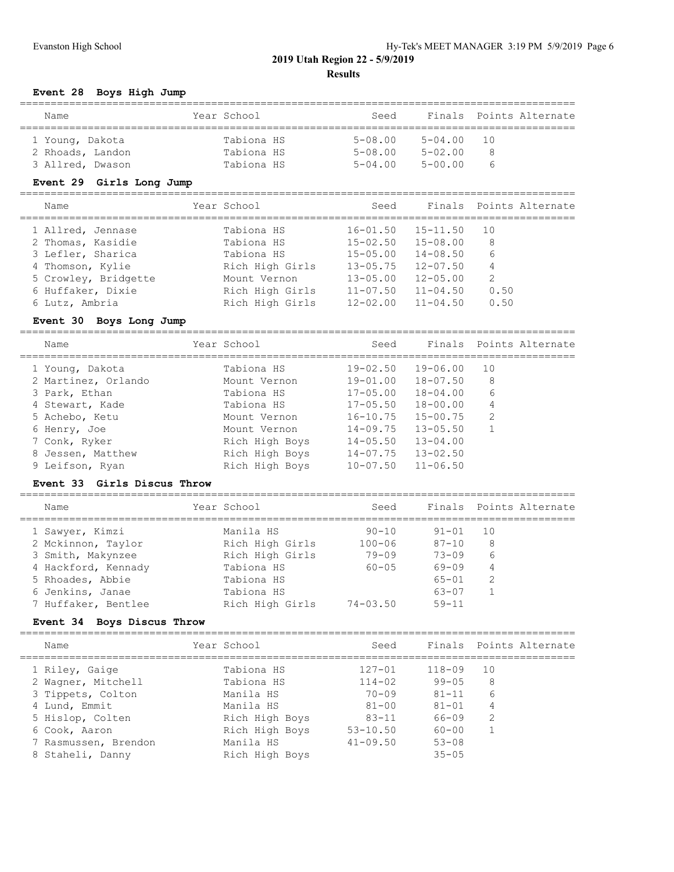# **Event 28 Boys High Jump**

| Name             | Year School | Seed        |             | Finals Points Alternate                    |  |  |  |  |  |
|------------------|-------------|-------------|-------------|--------------------------------------------|--|--|--|--|--|
| 1 Young, Dakota  | Tabiona HS  | $5 - 08.00$ | $5 - 04.00$ | $\begin{array}{ccc} \text{10} \end{array}$ |  |  |  |  |  |
| 2 Rhoads, Landon | Tabiona HS  | $5 - 08.00$ | $5 - 02.00$ | -8                                         |  |  |  |  |  |
| 3 Allred, Dwason | Tabiona HS  | $5 - 04.00$ | $5 - 00.00$ | h                                          |  |  |  |  |  |

#### **Event 29 Girls Long Jump**

# ==========================================================================================

| Name                 | Year School     | Seed         |              | Finals Points Alternate |
|----------------------|-----------------|--------------|--------------|-------------------------|
| 1 Allred, Jennase    | Tabiona HS      | $16 - 01.50$ | $15 - 11.50$ | 10                      |
| 2 Thomas, Kasidie    | Tabiona HS      | $15 - 02.50$ | $15 - 08.00$ | 8                       |
| 3 Lefler, Sharica    | Tabiona HS      | $15 - 05.00$ | $14 - 08.50$ | 6                       |
| 4 Thomson, Kylie     | Rich High Girls | $13 - 05.75$ | $12 - 07.50$ | 4                       |
| 5 Crowley, Bridgette | Mount Vernon    | $13 - 05.00$ | $12 - 05.00$ | -2                      |
| 6 Huffaker, Dixie    | Rich High Girls | $11 - 07.50$ | $11 - 04.50$ | 0.50                    |
| 6 Lutz, Ambria       | Rich High Girls | $12 - 02.00$ | $11 - 04.50$ | 0.50                    |
|                      |                 |              |              |                         |

# **Event 30 Boys Long Jump**

==========================================================================================

| Name                | Year School    | Seed         |              | Finals Points Alternate |
|---------------------|----------------|--------------|--------------|-------------------------|
| 1 Young, Dakota     | Tabiona HS     | 19-02.50     | 19-06.00     | 10                      |
| 2 Martinez, Orlando | Mount Vernon   | 19-01.00     | 18-07.50     | 8                       |
| 3 Park, Ethan       | Tabiona HS     | $17 - 05.00$ | 18-04.00     | 6                       |
| 4 Stewart, Kade     | Tabiona HS     | $17 - 05.50$ | 18-00.00     | 4                       |
| 5 Achebo, Ketu      | Mount Vernon   | $16 - 10.75$ | $15 - 00.75$ | 2                       |
| 6 Henry, Joe        | Mount Vernon   | $14 - 09.75$ | $13 - 05.50$ | $\overline{1}$          |
| 7 Conk, Ryker       | Rich High Boys | $14 - 05.50$ | $13 - 04.00$ |                         |
| 8 Jessen, Matthew   | Rich High Boys | $14 - 07.75$ | $13 - 02.50$ |                         |
| 9 Leifson, Ryan     | Rich High Boys | $10 - 07.50$ | $11 - 06.50$ |                         |

## **Event 33 Girls Discus Throw**

#### ========================================================================================== ---------<br>Seed Finals Points-Alternate

| .name               | rear scnool     | seea         |           | Finals Points Alternate |
|---------------------|-----------------|--------------|-----------|-------------------------|
| 1 Sawyer, Kimzi     | Manila HS       | $90 - 10$    | $91 - 01$ | 10                      |
| 2 Mckinnon, Taylor  | Rich High Girls | $100 - 06$   | $87 - 10$ | 8                       |
| 3 Smith, Makynzee   | Rich High Girls | $79 - 09$    | $73 - 09$ | 6                       |
| 4 Hackford, Kennady | Tabiona HS      | $60 - 05$    | $69 - 09$ | 4                       |
| 5 Rhoades, Abbie    | Tabiona HS      |              | $65 - 01$ | -2                      |
| 6 Jenkins, Janae    | Tabiona HS      |              | $63 - 07$ |                         |
| 7 Huffaker, Bentlee | Rich High Girls | $74 - 03.50$ | $59 - 11$ |                         |
|                     |                 |              |           |                         |

#### **Event 34 Boys Discus Throw**

| Name                 | Year School    | Seed         |            | Finals Points Alternate |
|----------------------|----------------|--------------|------------|-------------------------|
| 1 Riley, Gaige       | Tabiona HS     | $127 - 01$   | $118 - 09$ | 10                      |
| 2 Wagner, Mitchell   | Tabiona HS     | $114 - 02$   | $99 - 05$  | 8                       |
| 3 Tippets, Colton    | Manila HS      | $70 - 09$    | $81 - 11$  | 6                       |
| 4 Lund, Emmit        | Manila HS      | $81 - 00$    | $81 - 01$  | 4                       |
| 5 Hislop, Colten     | Rich High Boys | $83 - 11$    | $66 - 09$  | 2                       |
| 6 Cook, Aaron        | Rich High Boys | $53 - 10.50$ | $60 - 00$  |                         |
| 7 Rasmussen, Brendon | Manila HS      | $41 - 09.50$ | $53 - 08$  |                         |
| 8 Staheli, Danny     | Rich High Boys |              | $35 - 05$  |                         |
|                      |                |              |            |                         |